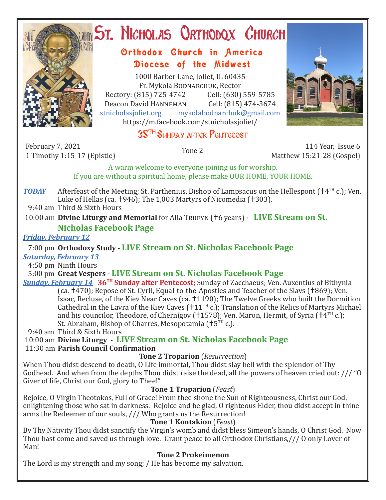

# **ST. NICHOLAS QRTHODOX CHURCH**

## Orthodox Church in America Diocese of the Midwest

1000 Barber Lane, Joliet, IL 60435 Fr. Mykola Bodnarchuk, Rector Rectory: (815) 725-4742 Cell: (630) 559-5785<br>Deacon David HANNEMAN Cell: (815) 474-3674 Deacon David Hanneman<br>stnicholasioliet.org mykola mykolabodnarchuk@gmail.com https://m.facebook.com/stnicholasjoliet/

# 35TH Sunday after Pentecost

February 7, 2021

1 Timothy 1:15-17 (Epistle) Tone 2 114 Year, Issue 6 Matthew 15:21-28 (Gospel)

A warm welcome to everyone joining us for worship. If you are without a spiritual home, please make OUR HOME, YOUR HOME.

*TODAY* Afterfeast of the Meeting; St. Parthenius, Bishop of Lampsacus on the Hellespont ( $\uparrow$ 4<sup>TH</sup> c.); Ven. Luke of Hellas (ca.  $\text{\textsf{+946}}$ ); The 1,003 Martyrs of Nicomedia ( $\text{\textsf{+303}}$ ).

9:40 am Third & Sixth Hours

10:00 am **Divine Liturgy and Memorial** for Alla Trufyn (†6 years) - **LIVE Stream on St.** 

#### **Nicholas Facebook Page**

#### *Friday, February 12*

### 7:00 pm **Orthodoxy Study - LIVE Stream on St. Nicholas Facebook Page**

*Saturday, February 13*

4:50 pm Ninth Hours

5:00 pm **Great Vespers - LIVE Stream on St. Nicholas Facebook Page**

*Sunday, February 14* **36TH Sunday after Pentecost;** Sunday of Zacchaeus; Ven. Auxentius of Bithynia (ca. †470); Repose of St. Cyril, Equal-to-the-Apostles and Teacher of the Slavs (†869); Ven. Isaac, Recluse, of the Kiev Near Caves (ca. 1190); The Twelve Greeks who built the Dormition Cathedral in the Lavra of the Kiev Caves ( $\text{+11}^{\text{TH}}$  c.); Translation of the Relics of Martyrs Michael and his councilor, Theodore, of Chernígov (†1578); Ven. Maron, Hermit, of Syria († $4<sup>TH</sup>$  c.); St. Abraham, Bishop of Charres, Mesopotamia ( $+5<sup>TH</sup>$  c.).

9:40 am Third & Sixth Hours

10:00 am **Divine Liturgy - LIVE Stream on St. Nicholas Facebook Page**

11:30 am **Parish Council Confirmation**

#### **Tone 2 Troparion** (*Resurrection*)

When Thou didst descend to death, O Life immortal, Thou didst slay hell with the splendor of Thy Godhead. And when from the depths Thou didst raise the dead, all the powers of heaven cried out: /// "O Giver of life, Christ our God, glory to Thee!"

#### **Tone 1 Troparion** (*Feast*)

Rejoice, O Virgin Theotokos, Full of Grace! From thee shone the Sun of Righteousness, Christ our God, enlightening those who sat in darkness. Rejoice and be glad, O righteous Elder, thou didst accept in thine arms the Redeemer of our souls, /// Who grants us the Resurrection!

#### **Tone 1 Kontakion** (*Feast*)

By Thy Nativity Thou didst sanctify the Virgin's womb and didst bless Simeon's hands, O Christ God. Now Thou hast come and saved us through love. Grant peace to all Orthodox Christians,/// O only Lover of Man!

#### **Tone 2 Prokeimenon**

The Lord is my strength and my song; / He has become my salvation.